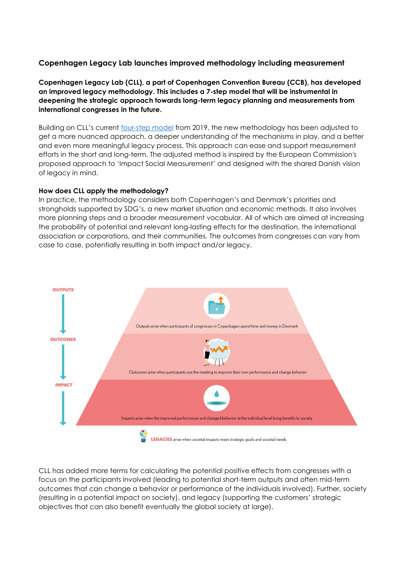# **Copenhagen Legacy Lab launches improved methodology including measurement**

**Copenhagen Legacy Lab (CLL), a part of Copenhagen Convention Bureau (CCB), has developed an improved legacy methodology. This includes a 7-step model that will be instrumental in deepening the strategic approach towards long-term legacy planning and measurements from international congresses in the future.**

Building on CLL's current [four-step model](https://www.wonderfulcopenhagen.com/Process-and-toolkit) from 2019, the new methodology has been adjusted to get a more nuanced approach, a deeper understanding of the mechanisms in play, and a better and even more meaningful legacy process. This approach can ease and support measurement efforts in the short and long-term. The adjusted method is inspired by the European Commission's proposed approach to 'Impact Social Measurement' and designed with the shared Danish vision of legacy in mind.

#### **How does CLL apply the methodology?**

In practice, the methodology considers both Copenhagen's and Denmark's priorities and strongholds supported by SDG's, a new market situation and economic methods. It also involves more planning steps and a broader measurement vocabular. All of which are aimed at increasing the probability of potential and relevant long-lasting effects for the destination, the international association or corporations, and their communities. The outcomes from congresses can vary from case to case, potentially resulting in both impact and/or legacy.



CLL has added more terms for calculating the potential positive effects from congresses with a focus on the participants involved (leading to potential short-term outputs and often mid-term outcomes that can change a behavior or performance of the individuals involved). Further, society (resulting in a potential impact on society), and legacy (supporting the customers' strategic objectives that can also benefit eventually the global society at large).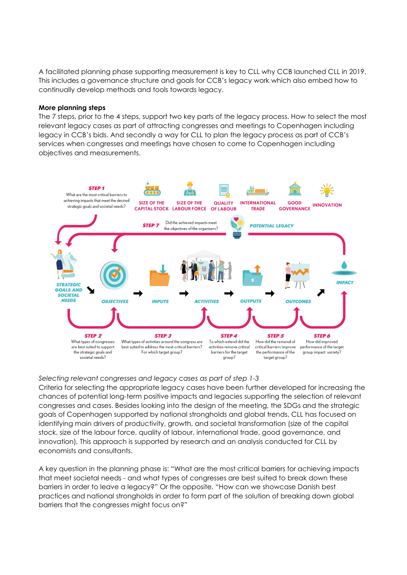A facilitated planning phase supporting measurement is key to CLL why CCB launched CLL in 2019. This includes a governance structure and goals for CCB's legacy work which also embed how to continually develop methods and tools towards legacy.

### **More planning steps**

The 7 steps, prior to the 4 steps, support two key parts of the legacy process. How to select the most relevant legacy cases as part of attracting congresses and meetings to Copenhagen including legacy in CCB's bids. And secondly a way for CLL to plan the legacy process as part of CCB's services when congresses and meetings have chosen to come to Copenhagen including objectives and measurements.



## *Selecting relevant congresses and legacy cases as part of step 1-3*

Criteria for selecting the appropriate legacy cases have been further developed for increasing the chances of potential long-term positive impacts and legacies supporting the selection of relevant congresses and cases. Besides looking into the design of the meeting, the SDGs and the strategic goals of Copenhagen supported by national strongholds and global trends, CLL has focused on identifying main drivers of productivity, growth, and societal transformation (size of the capital stock, size of the labour force, quality of labour, international trade, good governance, and innovation)*.* This approach is supported by research and an analysis conducted for CLL by economists and consultants.

A key question in the planning phase is: "What are the most critical barriers for achieving impacts that meet societal needs - and what types of congresses are best suited to break down these barriers in order to leave a legacy?" Or the opposite. "How can we showcase Danish best practices and national strongholds in order to form part of the solution of breaking down global barriers that the congresses might focus on?"